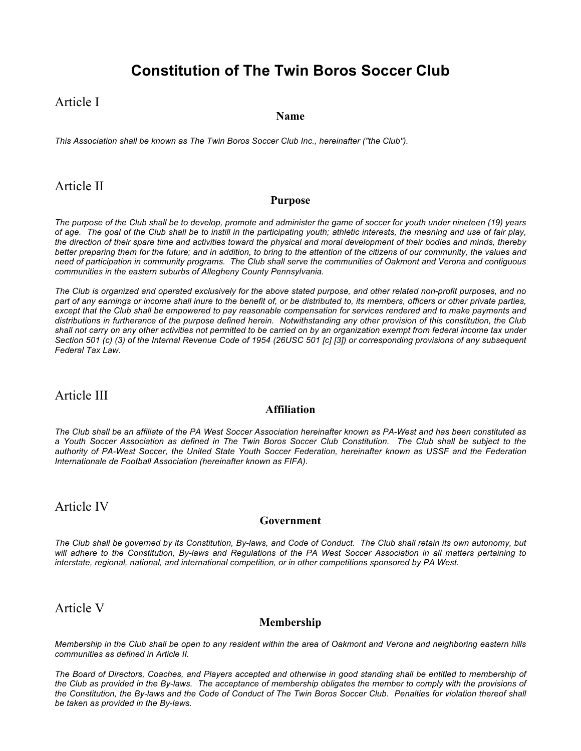# **Constitution of The Twin Boros Soccer Club**

# Article I

#### **Name**

*This Association shall be known as The Twin Boros Soccer Club Inc., hereinafter ("the Club").* 

# Article II

#### **Purpose**

*The purpose of the Club shall be to develop, promote and administer the game of soccer for youth under nineteen (19) years of age. The goal of the Club shall be to instill in the participating youth; athletic interests, the meaning and use of fair play, the direction of their spare time and activities toward the physical and moral development of their bodies and minds, thereby better preparing them for the future; and in addition, to bring to the attention of the citizens of our community, the values and need of participation in community programs. The Club shall serve the communities of Oakmont and Verona and contiguous communities in the eastern suburbs of Allegheny County Pennsylvania.*

*The Club is organized and operated exclusively for the above stated purpose, and other related non-profit purposes, and no part of any earnings or income shall inure to the benefit of, or be distributed to, its members, officers or other private parties, except that the Club shall be empowered to pay reasonable compensation for services rendered and to make payments and distributions in furtherance of the purpose defined herein. Notwithstanding any other provision of this constitution, the Club shall not carry on any other activities not permitted to be carried on by an organization exempt from federal income tax under Section 501 (c) (3) of the Internal Revenue Code of 1954 (26USC 501 [c] [3]) or corresponding provisions of any subsequent Federal Tax Law.*

## Article III

### **Affiliation**

*The Club shall be an affiliate of the PA West Soccer Association hereinafter known as PA-West and has been constituted as a Youth Soccer Association as defined in The Twin Boros Soccer Club Constitution. The Club shall be subject to the authority of PA-West Soccer, the United State Youth Soccer Federation, hereinafter known as USSF and the Federation Internationale de Football Association (hereinafter known as FIFA).*

# Article IV

#### **Government**

*The Club shall be governed by its Constitution, By-laws, and Code of Conduct. The Club shall retain its own autonomy, but will adhere to the Constitution, By-laws and Regulations of the PA West Soccer Association in all matters pertaining to interstate, regional, national, and international competition, or in other competitions sponsored by PA West.*

# Article V

### **Membership**

*Membership in the Club shall be open to any resident within the area of Oakmont and Verona and neighboring eastern hills communities as defined in Article II.* 

*The Board of Directors, Coaches, and Players accepted and otherwise in good standing shall be entitled to membership of the Club as provided in the By-laws. The acceptance of membership obligates the member to comply with the provisions of the Constitution, the By-laws and the Code of Conduct of The Twin Boros Soccer Club. Penalties for violation thereof shall be taken as provided in the By-laws.*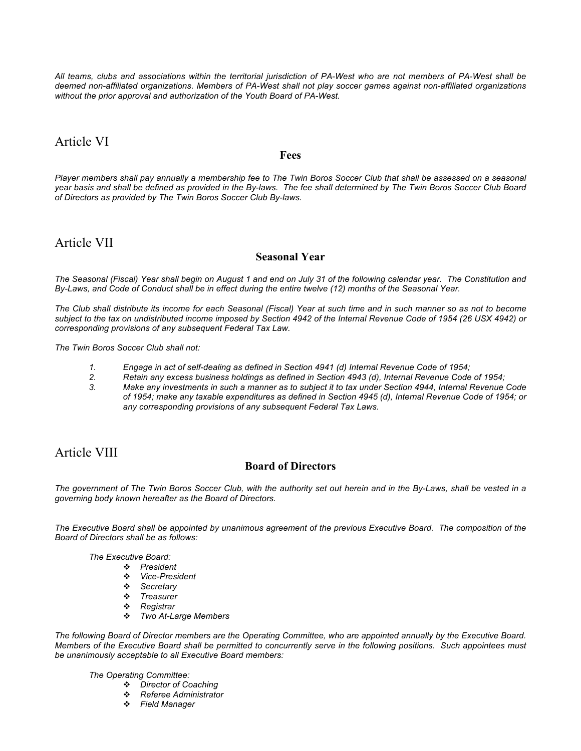*All teams, clubs and associations within the territorial jurisdiction of PA-West who are not members of PA-West shall be deemed non-affiliated organizations. Members of PA-West shall not play soccer games against non-affiliated organizations without the prior approval and authorization of the Youth Board of PA-West.*

# Article VI

#### **Fees**

*Player members shall pay annually a membership fee to The Twin Boros Soccer Club that shall be assessed on a seasonal year basis and shall be defined as provided in the By-laws. The fee shall determined by The Twin Boros Soccer Club Board of Directors as provided by The Twin Boros Soccer Club By-laws.*

### Article VII

### **Seasonal Year**

*The Seasonal (Fiscal) Year shall begin on August 1 and end on July 31 of the following calendar year. The Constitution and By-Laws, and Code of Conduct shall be in effect during the entire twelve (12) months of the Seasonal Year.* 

*The Club shall distribute its income for each Seasonal (Fiscal) Year at such time and in such manner so as not to become subject to the tax on undistributed income imposed by Section 4942 of the Internal Revenue Code of 1954 (26 USX 4942) or corresponding provisions of any subsequent Federal Tax Law.*

*The Twin Boros Soccer Club shall not:*

- *1. Engage in act of self-dealing as defined in Section 4941 (d) Internal Revenue Code of 1954;*
- *2. Retain any excess business holdings as defined in Section 4943 (d), Internal Revenue Code of 1954;*
- *3. Make any investments in such a manner as to subject it to tax under Section 4944, Internal Revenue Code of 1954; make any taxable expenditures as defined in Section 4945 (d), Internal Revenue Code of 1954; or any corresponding provisions of any subsequent Federal Tax Laws.*

# Article VIII

### **Board of Directors**

*The government of The Twin Boros Soccer Club, with the authority set out herein and in the By-Laws, shall be vested in a governing body known hereafter as the Board of Directors.*

*The Executive Board shall be appointed by unanimous agreement of the previous Executive Board. The composition of the Board of Directors shall be as follows:*

*The Executive Board:*

- *President*
	- *Vice-President*
	- *Secretary*
	- *Treasurer*
	- *Registrar*
	- *Two At-Large Members*

*The following Board of Director members are the Operating Committee, who are appointed annually by the Executive Board. Members of the Executive Board shall be permitted to concurrently serve in the following positions. Such appointees must be unanimously acceptable to all Executive Board members:*

*The Operating Committee:*

- *Director of Coaching*
- *Referee Administrator*
- *Field Manager*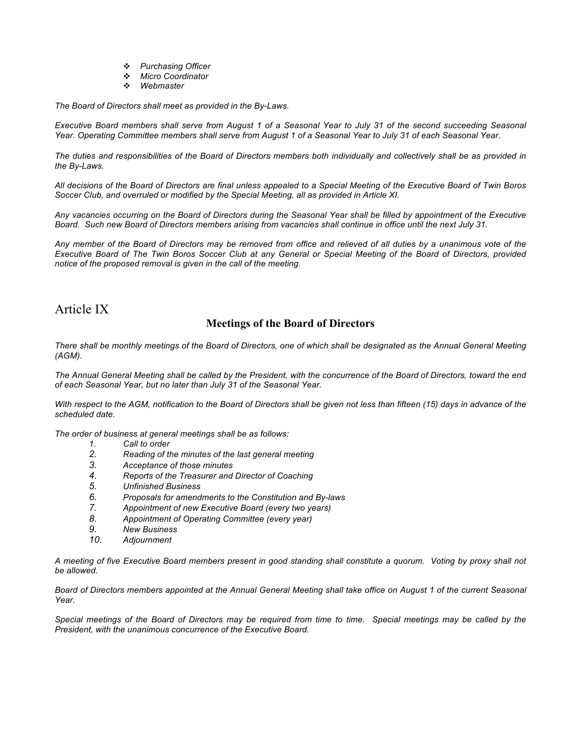- *Purchasing Officer*
- *Micro Coordinator*
- *Webmaster*

*The Board of Directors shall meet as provided in the By-Laws.*

*Executive Board members shall serve from August 1 of a Seasonal Year to July 31 of the second succeeding Seasonal Year. Operating Committee members shall serve from August 1 of a Seasonal Year to July 31 of each Seasonal Year.*

*The duties and responsibilities of the Board of Directors members both individually and collectively shall be as provided in the By-Laws.*

*All decisions of the Board of Directors are final unless appealed to a Special Meeting of the Executive Board of Twin Boros Soccer Club, and overruled or modified by the Special Meeting, all as provided in Article XI.*

*Any vacancies occurring on the Board of Directors during the Seasonal Year shall be filled by appointment of the Executive Board. Such new Board of Directors members arising from vacancies shall continue in office until the next July 31.*

*Any member of the Board of Directors may be removed from office and relieved of all duties by a unanimous vote of the Executive Board of The Twin Boros Soccer Club at any General or Special Meeting of the Board of Directors, provided notice of the proposed removal is given in the call of the meeting.*

# Article IX

### **Meetings of the Board of Directors**

*There shall be monthly meetings of the Board of Directors, one of which shall be designated as the Annual General Meeting (AGM).*

*The Annual General Meeting shall be called by the President, with the concurrence of the Board of Directors, toward the end of each Seasonal Year, but no later than July 31 of the Seasonal Year.*

*With respect to the AGM, notification to the Board of Directors shall be given not less than fifteen (15) days in advance of the scheduled date.*

*The order of business at general meetings shall be as follows:*

- *1. Call to order*
- *2. Reading of the minutes of the last general meeting*
- *3. Acceptance of those minutes*
- *4. Reports of the Treasurer and Director of Coaching*
- *5. Unfinished Business*
- *6. Proposals for amendments to the Constitution and By-laws*
- *7. Appointment of new Executive Board (every two years)*
- *8. Appointment of Operating Committee (every year)*
- *9. New Business*
- *10. Adjournment*

*A meeting of five Executive Board members present in good standing shall constitute a quorum. Voting by proxy shall not be allowed.*

*Board of Directors members appointed at the Annual General Meeting shall take office on August 1 of the current Seasonal Year.*

*Special meetings of the Board of Directors may be required from time to time. Special meetings may be called by the President, with the unanimous concurrence of the Executive Board.*